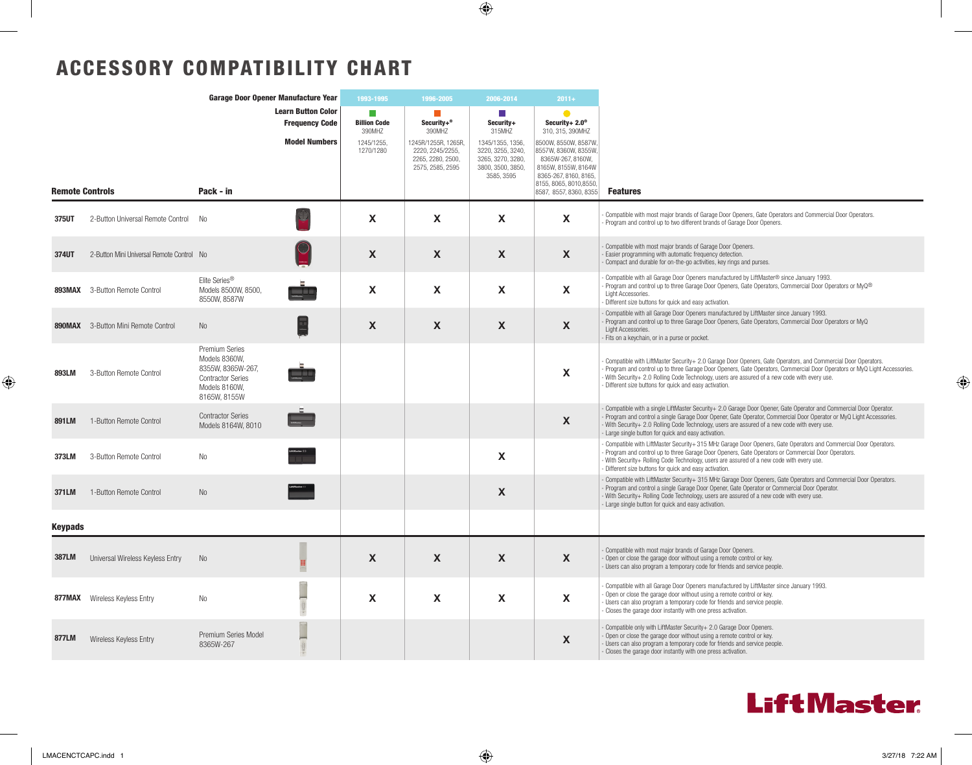$\bigoplus$ 

## ACCESSORY COMPATIBILITY CHART

| Garage Door Opener Manufacture Year |                                            |                                                                                                                   | 1993-1995                                                                  | 1996-2005                                                      | 2006-2014                                                                                                | $2011 +$                                                                                                                   |                                                                                                                                                                                                                     |                                                                                                                                                                                                                                                                                                                                                                                                  |  |
|-------------------------------------|--------------------------------------------|-------------------------------------------------------------------------------------------------------------------|----------------------------------------------------------------------------|----------------------------------------------------------------|----------------------------------------------------------------------------------------------------------|----------------------------------------------------------------------------------------------------------------------------|---------------------------------------------------------------------------------------------------------------------------------------------------------------------------------------------------------------------|--------------------------------------------------------------------------------------------------------------------------------------------------------------------------------------------------------------------------------------------------------------------------------------------------------------------------------------------------------------------------------------------------|--|
| <b>Remote Controls</b>              |                                            | Pack - in                                                                                                         | <b>Learn Button Color</b><br><b>Frequency Code</b><br><b>Model Numbers</b> | n.<br><b>Billion Code</b><br>390MHZ<br>1245/1255,<br>1270/1280 | Security+®<br>390MHZ<br>1245R/1255R, 1265R,<br>2220, 2245/2255,<br>2265, 2280, 2500,<br>2575, 2585, 2595 | m.<br>Security+<br>315MHZ<br>1345/1355, 1356,<br>3220, 3255, 3240,<br>3265, 3270, 3280,<br>3800, 3500, 3850,<br>3585, 3595 | Security+ $2.0^\circ$<br>310, 315, 390MHZ<br>8500W, 8550W, 8587W,<br>8557W, 8360W, 8355W,<br>8365W-267, 8160W,<br>8165W, 8155W, 8164W<br>8365-267, 8160, 8165,<br>8155, 8065, 8010, 8550,<br>8587, 8557, 8360, 8355 | <b>Features</b>                                                                                                                                                                                                                                                                                                                                                                                  |  |
| 375UT                               | 2-Button Universal Remote Control          | No                                                                                                                |                                                                            | X                                                              | X                                                                                                        | X                                                                                                                          | X                                                                                                                                                                                                                   | Compatible with most major brands of Garage Door Openers, Gate Operators and Commercial Door Operators.<br>Program and control up to two different brands of Garage Door Openers.                                                                                                                                                                                                                |  |
| 374UT                               | 2-Button Mini Universal Remote Control No  |                                                                                                                   |                                                                            | X                                                              | X                                                                                                        | X                                                                                                                          | $\mathsf{x}$                                                                                                                                                                                                        | Compatible with most major brands of Garage Door Openers.<br>Easier programming with automatic frequency detection.<br>Compact and durable for on-the-go activities, key rings and purses.                                                                                                                                                                                                       |  |
|                                     | <b>893MAX</b> 3-Button Remote Control      | Elite Series <sup>®</sup><br>Models 8500W, 8500,<br>8550W, 8587W                                                  | <b>START DESIGNATI</b>                                                     | X                                                              | X                                                                                                        | X                                                                                                                          | $\mathbf{x}$                                                                                                                                                                                                        | Compatible with all Garage Door Openers manufactured by LiftMaster® since January 1993.<br>Program and control up to three Garage Door Openers, Gate Operators, Commercial Door Operators or MyQ <sup>®</sup><br>Light Accessories.<br>Different size buttons for quick and easy activation.                                                                                                     |  |
|                                     | <b>890MAX</b> 3-Button Mini Remote Control | <b>No</b>                                                                                                         |                                                                            | X                                                              | X                                                                                                        | X                                                                                                                          | $\mathsf{x}$                                                                                                                                                                                                        | Compatible with all Garage Door Openers manufactured by LiftMaster since January 1993.<br>Program and control up to three Garage Door Openers, Gate Operators, Commercial Door Operators or MyQ<br>Light Accessories.<br>Fits on a keychain, or in a purse or pocket.                                                                                                                            |  |
| 893LM                               | 3-Button Remote Control                    | Premium Series<br>Models 8360W.<br>8355W, 8365W-267,<br><b>Contractor Series</b><br>Models 8160W.<br>8165W, 8155W |                                                                            |                                                                |                                                                                                          |                                                                                                                            | $\mathsf{x}$                                                                                                                                                                                                        | Compatible with LiftMaster Security+ 2.0 Garage Door Openers, Gate Operators, and Commercial Door Operators.<br>Program and control up to three Garage Door Openers, Gate Operators, Commercial Door Operators or MyQ Light Accessories.<br>With Security+ 2.0 Rolling Code Technology, users are assured of a new code with every use.<br>Different size buttons for quick and easy activation. |  |
| 891LM                               | 1-Button Remote Control                    | <b>Contractor Series</b><br>Models 8164W, 8010                                                                    |                                                                            |                                                                |                                                                                                          |                                                                                                                            | X                                                                                                                                                                                                                   | Compatible with a single LiftMaster Security+ 2.0 Garage Door Opener, Gate Operator and Commercial Door Operator.<br>Program and control a single Garage Door Opener, Gate Operator, Commercial Door Operator or MyQ Light Accessories.<br>With Security+ 2.0 Rolling Code Technology, users are assured of a new code with every use.<br>- Large single button for quick and easy activation.   |  |
| 373LM                               | 3-Button Remote Control                    | N <sub>o</sub>                                                                                                    |                                                                            |                                                                |                                                                                                          | X                                                                                                                          |                                                                                                                                                                                                                     | Compatible with LiftMaster Security+ 315 MHz Garage Door Openers, Gate Operators and Commercial Door Operators.<br>Program and control up to three Garage Door Openers, Gate Operators or Commercial Door Operators.<br>With Security+ Rolling Code Technology, users are assured of a new code with every use.<br>- Different size buttons for quick and easy activation.                       |  |
| 371LM                               | 1-Button Remote Control                    | <b>No</b>                                                                                                         |                                                                            |                                                                |                                                                                                          | X                                                                                                                          |                                                                                                                                                                                                                     | - Compatible with LiftMaster Security+ 315 MHz Garage Door Openers, Gate Operators and Commercial Door Operators.<br>Program and control a single Garage Door Opener, Gate Operator or Commercial Door Operator.<br>With Security+ Rolling Code Technology, users are assured of a new code with every use.<br>- Large single button for quick and easy activation.                              |  |
| <b>Keypads</b>                      |                                            |                                                                                                                   |                                                                            |                                                                |                                                                                                          |                                                                                                                            |                                                                                                                                                                                                                     |                                                                                                                                                                                                                                                                                                                                                                                                  |  |
| 387LM                               | Universal Wireless Keyless Entry           | <b>No</b>                                                                                                         |                                                                            | X                                                              | X                                                                                                        | X                                                                                                                          | X                                                                                                                                                                                                                   | Compatible with most major brands of Garage Door Openers.<br>Open or close the garage door without using a remote control or key.<br>Users can also program a temporary code for friends and service people.                                                                                                                                                                                     |  |
|                                     | <b>877MAX</b> Wireless Keyless Entry       | <b>No</b>                                                                                                         |                                                                            | X                                                              | X                                                                                                        | X                                                                                                                          | X                                                                                                                                                                                                                   | Compatible with all Garage Door Openers manufactured by LiftMaster since January 1993.<br>Open or close the garage door without using a remote control or key.<br>Users can also program a temporary code for friends and service people.<br>Closes the garage door instantly with one press activation.                                                                                         |  |
| 877LM                               | Wireless Keyless Entry                     | Premium Series Model<br>8365W-267                                                                                 |                                                                            |                                                                |                                                                                                          |                                                                                                                            | X                                                                                                                                                                                                                   | Compatible only with LiftMaster Security+ 2.0 Garage Door Openers.<br>Open or close the garage door without using a remote control or key.<br>Users can also program a temporary code for friends and service people.<br>Closes the garage door instantly with one press activation.                                                                                                             |  |



LMACENCTCAPC.indd 1 3/27/18 7:22 AM

 $\bigoplus$ 

 $\bigoplus$